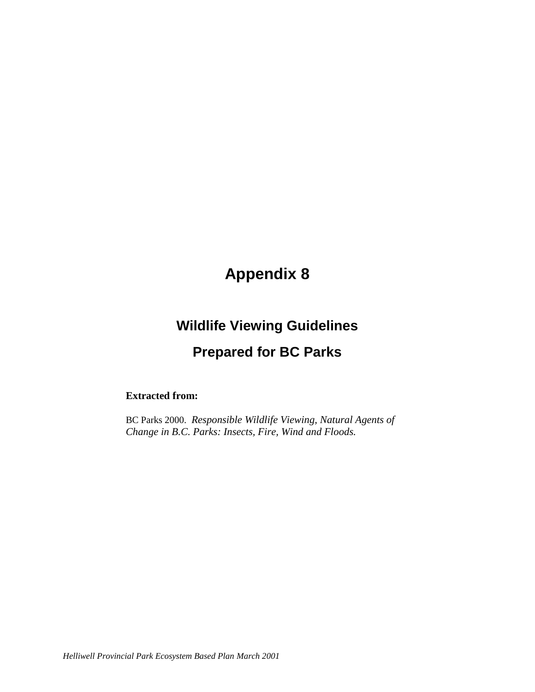# **Appendix 8**

## **Wildlife Viewing Guidelines**

### **Prepared for BC Parks**

#### **Extracted from:**

BC Parks 2000. *Responsible Wildlife Viewing, Natural Agents of Change in B.C. Parks: Insects, Fire, Wind and Floods.*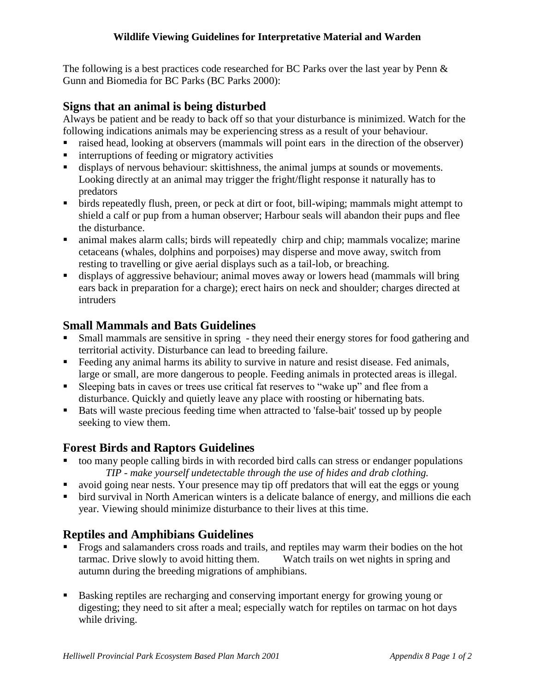The following is a best practices code researched for BC Parks over the last year by Penn & Gunn and Biomedia for BC Parks (BC Parks 2000):

#### **Signs that an animal is being disturbed**

Always be patient and be ready to back off so that your disturbance is minimized. Watch for the following indications animals may be experiencing stress as a result of your behaviour.

- raised head, looking at observers (mammals will point ears in the direction of the observer)
- interruptions of feeding or migratory activities
- displays of nervous behaviour: skittishness, the animal jumps at sounds or movements. Looking directly at an animal may trigger the fright/flight response it naturally has to predators
- birds repeatedly flush, preen, or peck at dirt or foot, bill-wiping; mammals might attempt to shield a calf or pup from a human observer; Harbour seals will abandon their pups and flee the disturbance.
- animal makes alarm calls; birds will repeatedly chirp and chip; mammals vocalize; marine cetaceans (whales, dolphins and porpoises) may disperse and move away, switch from resting to travelling or give aerial displays such as a tail-lob, or breaching.
- displays of aggressive behaviour; animal moves away or lowers head (mammals will bring ears back in preparation for a charge); erect hairs on neck and shoulder; charges directed at intruders

#### **Small Mammals and Bats Guidelines**

- Small mammals are sensitive in spring they need their energy stores for food gathering and territorial activity. Disturbance can lead to breeding failure.
- Feeding any animal harms its ability to survive in nature and resist disease. Fed animals, large or small, are more dangerous to people. Feeding animals in protected areas is illegal.
- Sleeping bats in caves or trees use critical fat reserves to "wake up" and flee from a disturbance. Quickly and quietly leave any place with roosting or hibernating bats.
- Bats will waste precious feeding time when attracted to 'false-bait' tossed up by people seeking to view them.

#### **Forest Birds and Raptors Guidelines**

- too many people calling birds in with recorded bird calls can stress or endanger populations *TIP - make yourself undetectable through the use of hides and drab clothing.*
- avoid going near nests. Your presence may tip off predators that will eat the eggs or young
- bird survival in North American winters is a delicate balance of energy, and millions die each year. Viewing should minimize disturbance to their lives at this time.

### **Reptiles and Amphibians Guidelines**

- Frogs and salamanders cross roads and trails, and reptiles may warm their bodies on the hot tarmac. Drive slowly to avoid hitting them. Watch trails on wet nights in spring and autumn during the breeding migrations of amphibians.
- Basking reptiles are recharging and conserving important energy for growing young or digesting; they need to sit after a meal; especially watch for reptiles on tarmac on hot days while driving.